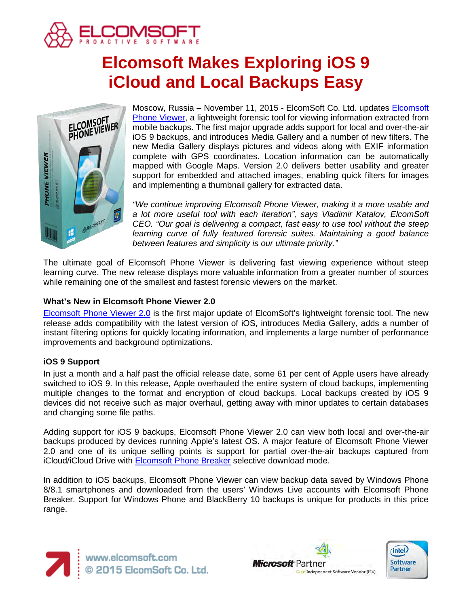

# **Elcomsoft Makes Exploring iOS 9 iCloud and Local Backups Easy**



Moscow, Russia – November 11, 2015 - ElcomSoft Co. Ltd. updates [Elcomsoft](https://www.elcomsoft.com/epv.html)  [Phone Viewer,](https://www.elcomsoft.com/epv.html) a lightweight forensic tool for viewing information extracted from mobile backups. The first major upgrade adds support for local and over-the-air iOS 9 backups, and introduces Media Gallery and a number of new filters. The new Media Gallery displays pictures and videos along with EXIF information complete with GPS coordinates. Location information can be automatically mapped with Google Maps. Version 2.0 delivers better usability and greater support for embedded and attached images, enabling quick filters for images and implementing a thumbnail gallery for extracted data.

*"We continue improving Elcomsoft Phone Viewer, making it a more usable and a lot more useful tool with each iteration", says Vladimir Katalov, ElcomSoft CEO. "Our goal is delivering a compact, fast easy to use tool without the steep learning curve of fully featured forensic suites. Maintaining a good balance between features and simplicity is our ultimate priority."*

The ultimate goal of Elcomsoft Phone Viewer is delivering fast viewing experience without steep learning curve. The new release displays more valuable information from a greater number of sources while remaining one of the smallest and fastest forensic viewers on the market.

## **What's New in Elcomsoft Phone Viewer 2.0**

[Elcomsoft Phone Viewer 2.0](https://www.elcomsoft.com/epv.html) is the first major update of ElcomSoft's lightweight forensic tool. The new release adds compatibility with the latest version of iOS, introduces Media Gallery, adds a number of instant filtering options for quickly locating information, and implements a large number of performance improvements and background optimizations.

## **iOS 9 Support**

In just a month and a half past the official release date, some 61 per cent of Apple users have already switched to iOS 9. In this release, Apple overhauled the entire system of cloud backups, implementing multiple changes to the format and encryption of cloud backups. Local backups created by iOS 9 devices did not receive such as major overhaul, getting away with minor updates to certain databases and changing some file paths.

Adding support for iOS 9 backups, Elcomsoft Phone Viewer 2.0 can view both local and over-the-air backups produced by devices running Apple's latest OS. A major feature of Elcomsoft Phone Viewer 2.0 and one of its unique selling points is support for partial over-the-air backups captured from iCloud/iCloud Drive with [Elcomsoft Phone Breaker](https://www.elcomsoft.com/eppb.html) selective download mode.

In addition to iOS backups, Elcomsoft Phone Viewer can view backup data saved by Windows Phone 8/8.1 smartphones and downloaded from the users' Windows Live accounts with Elcomsoft Phone Breaker. Support for Windows Phone and BlackBerry 10 backups is unique for products in this price range.